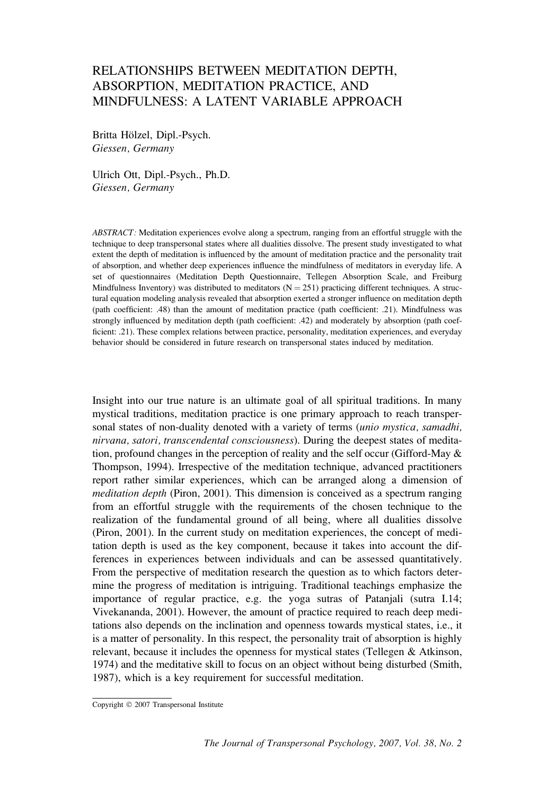# RELATIONSHIPS BETWEEN MEDITATION DEPTH, ABSORPTION, MEDITATION PRACTICE, AND MINDFULNESS: A LATENT VARIABLE APPROACH

Britta Hölzel, Dipl.-Psych. Giessen, Germany

Ulrich Ott, Dipl.-Psych., Ph.D. Giessen, Germany

ABSTRACT: Meditation experiences evolve along a spectrum, ranging from an effortful struggle with the technique to deep transpersonal states where all dualities dissolve. The present study investigated to what extent the depth of meditation is influenced by the amount of meditation practice and the personality trait of absorption, and whether deep experiences influence the mindfulness of meditators in everyday life. A set of questionnaires (Meditation Depth Questionnaire, Tellegen Absorption Scale, and Freiburg Mindfulness Inventory) was distributed to meditators ( $N = 251$ ) practicing different techniques. A structural equation modeling analysis revealed that absorption exerted a stronger influence on meditation depth (path coefficient: .48) than the amount of meditation practice (path coefficient: .21). Mindfulness was strongly influenced by meditation depth (path coefficient: .42) and moderately by absorption (path coefficient: .21). These complex relations between practice, personality, meditation experiences, and everyday behavior should be considered in future research on transpersonal states induced by meditation.

Insight into our true nature is an ultimate goal of all spiritual traditions. In many mystical traditions, meditation practice is one primary approach to reach transpersonal states of non-duality denoted with a variety of terms *(unio mystica, samadhi,* nirvana, satori, transcendental consciousness). During the deepest states of meditation, profound changes in the perception of reality and the self occur (Gifford-May & Thompson, 1994). Irrespective of the meditation technique, advanced practitioners report rather similar experiences, which can be arranged along a dimension of meditation depth (Piron, 2001). This dimension is conceived as a spectrum ranging from an effortful struggle with the requirements of the chosen technique to the realization of the fundamental ground of all being, where all dualities dissolve (Piron, 2001). In the current study on meditation experiences, the concept of meditation depth is used as the key component, because it takes into account the differences in experiences between individuals and can be assessed quantitatively. From the perspective of meditation research the question as to which factors determine the progress of meditation is intriguing. Traditional teachings emphasize the importance of regular practice, e.g. the yoga sutras of Patanjali (sutra I.14; Vivekananda, 2001). However, the amount of practice required to reach deep meditations also depends on the inclination and openness towards mystical states, i.e., it is a matter of personality. In this respect, the personality trait of absorption is highly relevant, because it includes the openness for mystical states (Tellegen & Atkinson, 1974) and the meditative skill to focus on an object without being disturbed (Smith, 1987), which is a key requirement for successful meditation.

Copyright © 2007 Transpersonal Institute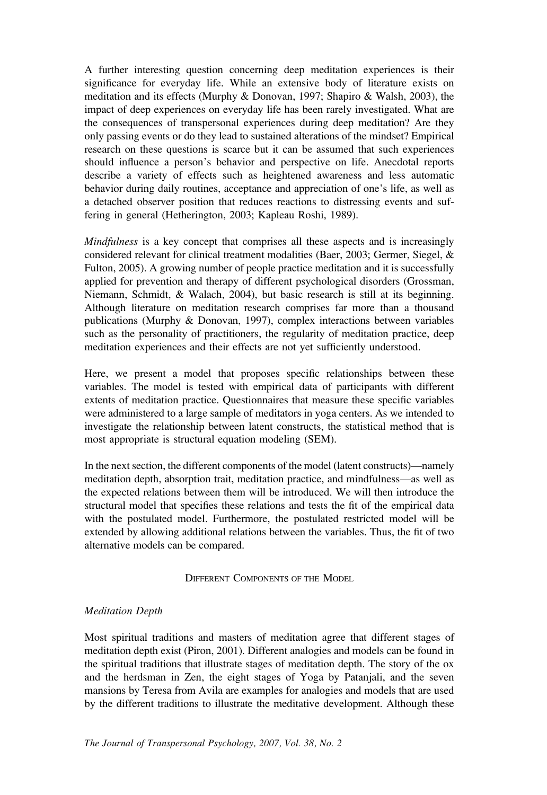A further interesting question concerning deep meditation experiences is their significance for everyday life. While an extensive body of literature exists on meditation and its effects (Murphy & Donovan, 1997; Shapiro & Walsh, 2003), the impact of deep experiences on everyday life has been rarely investigated. What are the consequences of transpersonal experiences during deep meditation? Are they only passing events or do they lead to sustained alterations of the mindset? Empirical research on these questions is scarce but it can be assumed that such experiences should influence a person's behavior and perspective on life. Anecdotal reports describe a variety of effects such as heightened awareness and less automatic behavior during daily routines, acceptance and appreciation of one's life, as well as a detached observer position that reduces reactions to distressing events and suffering in general (Hetherington, 2003; Kapleau Roshi, 1989).

Mindfulness is a key concept that comprises all these aspects and is increasingly considered relevant for clinical treatment modalities (Baer, 2003; Germer, Siegel, & Fulton, 2005). A growing number of people practice meditation and it is successfully applied for prevention and therapy of different psychological disorders (Grossman, Niemann, Schmidt, & Walach, 2004), but basic research is still at its beginning. Although literature on meditation research comprises far more than a thousand publications (Murphy & Donovan, 1997), complex interactions between variables such as the personality of practitioners, the regularity of meditation practice, deep meditation experiences and their effects are not yet sufficiently understood.

Here, we present a model that proposes specific relationships between these variables. The model is tested with empirical data of participants with different extents of meditation practice. Questionnaires that measure these specific variables were administered to a large sample of meditators in yoga centers. As we intended to investigate the relationship between latent constructs, the statistical method that is most appropriate is structural equation modeling (SEM).

In the next section, the different components of the model (latent constructs)—namely meditation depth, absorption trait, meditation practice, and mindfulness—as well as the expected relations between them will be introduced. We will then introduce the structural model that specifies these relations and tests the fit of the empirical data with the postulated model. Furthermore, the postulated restricted model will be extended by allowing additional relations between the variables. Thus, the fit of two alternative models can be compared.

DIFFERENT COMPONENTS OF THE MODEL

### Meditation Depth

Most spiritual traditions and masters of meditation agree that different stages of meditation depth exist (Piron, 2001). Different analogies and models can be found in the spiritual traditions that illustrate stages of meditation depth. The story of the ox and the herdsman in Zen, the eight stages of Yoga by Patanjali, and the seven mansions by Teresa from Avila are examples for analogies and models that are used by the different traditions to illustrate the meditative development. Although these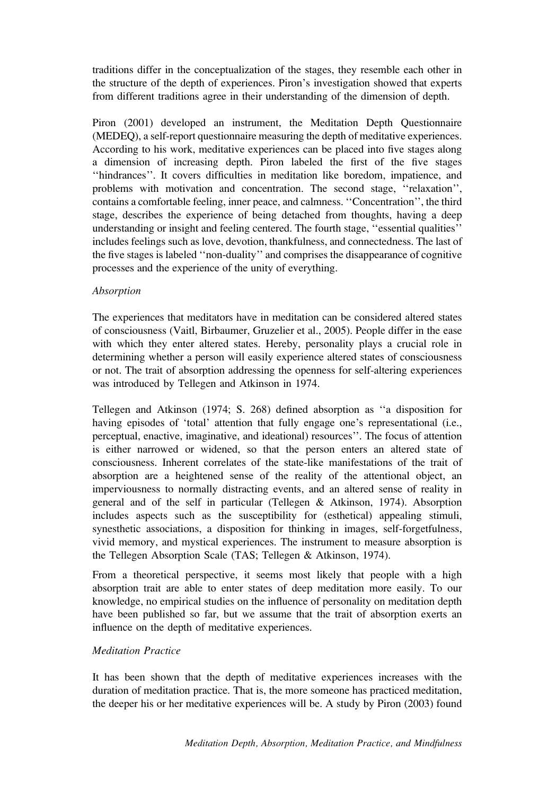traditions differ in the conceptualization of the stages, they resemble each other in the structure of the depth of experiences. Piron's investigation showed that experts from different traditions agree in their understanding of the dimension of depth.

Piron (2001) developed an instrument, the Meditation Depth Questionnaire (MEDEQ), a self-report questionnaire measuring the depth of meditative experiences. According to his work, meditative experiences can be placed into five stages along a dimension of increasing depth. Piron labeled the first of the five stages ''hindrances''. It covers difficulties in meditation like boredom, impatience, and problems with motivation and concentration. The second stage, ''relaxation'', contains a comfortable feeling, inner peace, and calmness. ''Concentration'', the third stage, describes the experience of being detached from thoughts, having a deep understanding or insight and feeling centered. The fourth stage, ''essential qualities'' includes feelings such as love, devotion, thankfulness, and connectedness. The last of the five stages is labeled ''non-duality'' and comprises the disappearance of cognitive processes and the experience of the unity of everything.

## Absorption

The experiences that meditators have in meditation can be considered altered states of consciousness (Vaitl, Birbaumer, Gruzelier et al., 2005). People differ in the ease with which they enter altered states. Hereby, personality plays a crucial role in determining whether a person will easily experience altered states of consciousness or not. The trait of absorption addressing the openness for self-altering experiences was introduced by Tellegen and Atkinson in 1974.

Tellegen and Atkinson (1974; S. 268) defined absorption as ''a disposition for having episodes of 'total' attention that fully engage one's representational (i.e., perceptual, enactive, imaginative, and ideational) resources''. The focus of attention is either narrowed or widened, so that the person enters an altered state of consciousness. Inherent correlates of the state-like manifestations of the trait of absorption are a heightened sense of the reality of the attentional object, an imperviousness to normally distracting events, and an altered sense of reality in general and of the self in particular (Tellegen & Atkinson, 1974). Absorption includes aspects such as the susceptibility for (esthetical) appealing stimuli, synesthetic associations, a disposition for thinking in images, self-forgetfulness, vivid memory, and mystical experiences. The instrument to measure absorption is the Tellegen Absorption Scale (TAS; Tellegen & Atkinson, 1974).

From a theoretical perspective, it seems most likely that people with a high absorption trait are able to enter states of deep meditation more easily. To our knowledge, no empirical studies on the influence of personality on meditation depth have been published so far, but we assume that the trait of absorption exerts an influence on the depth of meditative experiences.

# Meditation Practice

It has been shown that the depth of meditative experiences increases with the duration of meditation practice. That is, the more someone has practiced meditation, the deeper his or her meditative experiences will be. A study by Piron (2003) found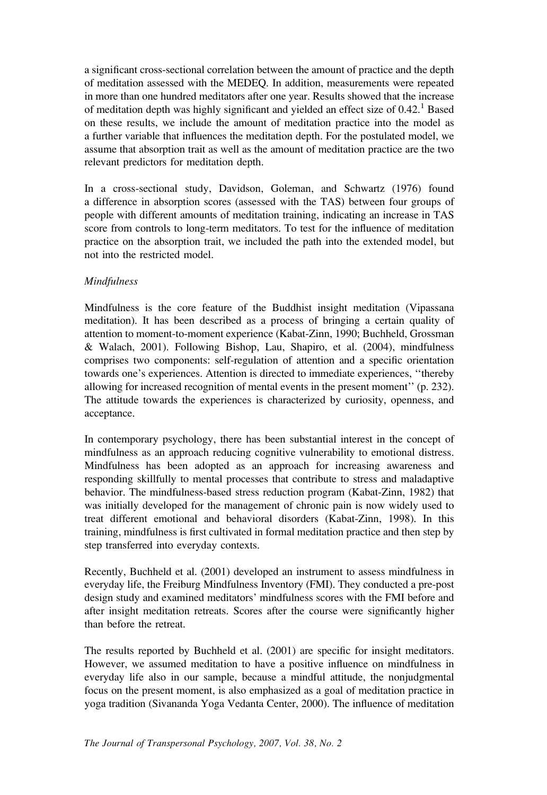a significant cross-sectional correlation between the amount of practice and the depth of meditation assessed with the MEDEQ. In addition, measurements were repeated in more than one hundred meditators after one year. Results showed that the increase of meditation depth was highly significant and yielded an effect size of  $0.42<sup>1</sup>$  Based on these results, we include the amount of meditation practice into the model as a further variable that influences the meditation depth. For the postulated model, we assume that absorption trait as well as the amount of meditation practice are the two relevant predictors for meditation depth.

In a cross-sectional study, Davidson, Goleman, and Schwartz (1976) found a difference in absorption scores (assessed with the TAS) between four groups of people with different amounts of meditation training, indicating an increase in TAS score from controls to long-term meditators. To test for the influence of meditation practice on the absorption trait, we included the path into the extended model, but not into the restricted model.

## Mindfulness

Mindfulness is the core feature of the Buddhist insight meditation (Vipassana meditation). It has been described as a process of bringing a certain quality of attention to moment-to-moment experience (Kabat-Zinn, 1990; Buchheld, Grossman & Walach, 2001). Following Bishop, Lau, Shapiro, et al. (2004), mindfulness comprises two components: self-regulation of attention and a specific orientation towards one's experiences. Attention is directed to immediate experiences, ''thereby allowing for increased recognition of mental events in the present moment'' (p. 232). The attitude towards the experiences is characterized by curiosity, openness, and acceptance.

In contemporary psychology, there has been substantial interest in the concept of mindfulness as an approach reducing cognitive vulnerability to emotional distress. Mindfulness has been adopted as an approach for increasing awareness and responding skillfully to mental processes that contribute to stress and maladaptive behavior. The mindfulness-based stress reduction program (Kabat-Zinn, 1982) that was initially developed for the management of chronic pain is now widely used to treat different emotional and behavioral disorders (Kabat-Zinn, 1998). In this training, mindfulness is first cultivated in formal meditation practice and then step by step transferred into everyday contexts.

Recently, Buchheld et al. (2001) developed an instrument to assess mindfulness in everyday life, the Freiburg Mindfulness Inventory (FMI). They conducted a pre-post design study and examined meditators' mindfulness scores with the FMI before and after insight meditation retreats. Scores after the course were significantly higher than before the retreat.

The results reported by Buchheld et al. (2001) are specific for insight meditators. However, we assumed meditation to have a positive influence on mindfulness in everyday life also in our sample, because a mindful attitude, the nonjudgmental focus on the present moment, is also emphasized as a goal of meditation practice in yoga tradition (Sivananda Yoga Vedanta Center, 2000). The influence of meditation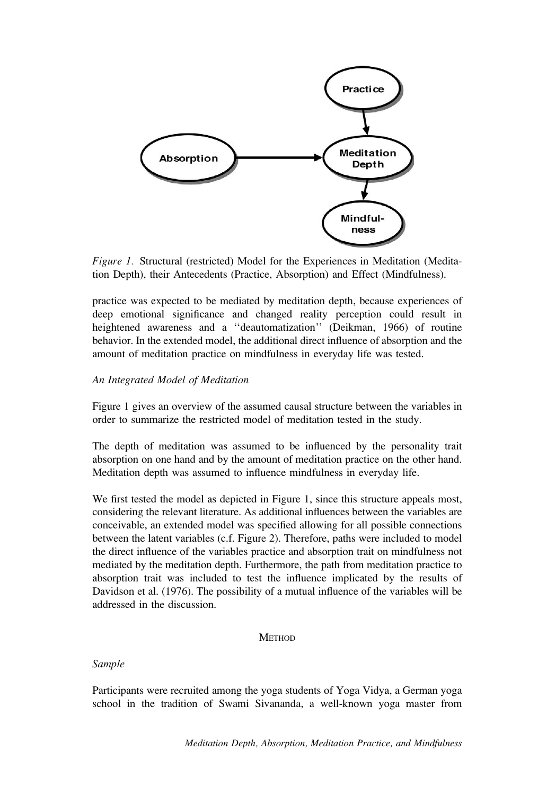

Figure 1. Structural (restricted) Model for the Experiences in Meditation (Meditation Depth), their Antecedents (Practice, Absorption) and Effect (Mindfulness).

practice was expected to be mediated by meditation depth, because experiences of deep emotional significance and changed reality perception could result in heightened awareness and a ''deautomatization'' (Deikman, 1966) of routine behavior. In the extended model, the additional direct influence of absorption and the amount of meditation practice on mindfulness in everyday life was tested.

# An Integrated Model of Meditation

Figure 1 gives an overview of the assumed causal structure between the variables in order to summarize the restricted model of meditation tested in the study.

The depth of meditation was assumed to be influenced by the personality trait absorption on one hand and by the amount of meditation practice on the other hand. Meditation depth was assumed to influence mindfulness in everyday life.

We first tested the model as depicted in Figure 1, since this structure appeals most, considering the relevant literature. As additional influences between the variables are conceivable, an extended model was specified allowing for all possible connections between the latent variables (c.f. Figure 2). Therefore, paths were included to model the direct influence of the variables practice and absorption trait on mindfulness not mediated by the meditation depth. Furthermore, the path from meditation practice to absorption trait was included to test the influence implicated by the results of Davidson et al. (1976). The possibility of a mutual influence of the variables will be addressed in the discussion.

#### **METHOD**

## Sample

Participants were recruited among the yoga students of Yoga Vidya, a German yoga school in the tradition of Swami Sivananda, a well-known yoga master from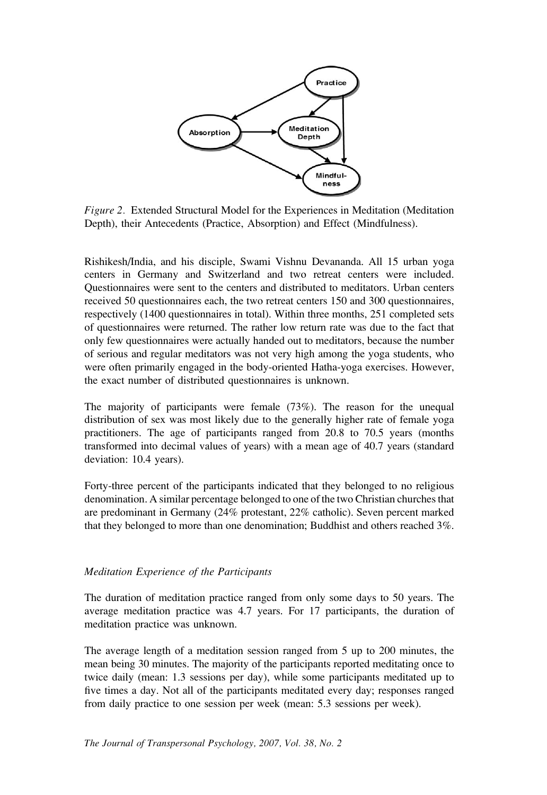

Figure 2. Extended Structural Model for the Experiences in Meditation (Meditation Depth), their Antecedents (Practice, Absorption) and Effect (Mindfulness).

Rishikesh/India, and his disciple, Swami Vishnu Devananda. All 15 urban yoga centers in Germany and Switzerland and two retreat centers were included. Questionnaires were sent to the centers and distributed to meditators. Urban centers received 50 questionnaires each, the two retreat centers 150 and 300 questionnaires, respectively (1400 questionnaires in total). Within three months, 251 completed sets of questionnaires were returned. The rather low return rate was due to the fact that only few questionnaires were actually handed out to meditators, because the number of serious and regular meditators was not very high among the yoga students, who were often primarily engaged in the body-oriented Hatha-yoga exercises. However, the exact number of distributed questionnaires is unknown.

The majority of participants were female  $(73\%)$ . The reason for the unequal distribution of sex was most likely due to the generally higher rate of female yoga practitioners. The age of participants ranged from 20.8 to 70.5 years (months transformed into decimal values of years) with a mean age of 40.7 years (standard deviation: 10.4 years).

Forty-three percent of the participants indicated that they belonged to no religious denomination. A similar percentage belonged to one of the two Christian churches that are predominant in Germany (24% protestant, 22% catholic). Seven percent marked that they belonged to more than one denomination; Buddhist and others reached 3%.

### Meditation Experience of the Participants

The duration of meditation practice ranged from only some days to 50 years. The average meditation practice was 4.7 years. For 17 participants, the duration of meditation practice was unknown.

The average length of a meditation session ranged from 5 up to 200 minutes, the mean being 30 minutes. The majority of the participants reported meditating once to twice daily (mean: 1.3 sessions per day), while some participants meditated up to five times a day. Not all of the participants meditated every day; responses ranged from daily practice to one session per week (mean: 5.3 sessions per week).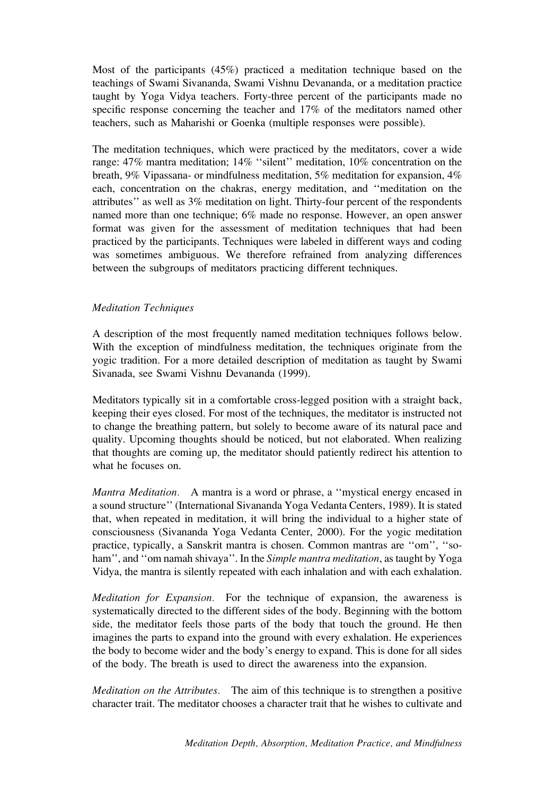Most of the participants (45%) practiced a meditation technique based on the teachings of Swami Sivananda, Swami Vishnu Devananda, or a meditation practice taught by Yoga Vidya teachers. Forty-three percent of the participants made no specific response concerning the teacher and 17% of the meditators named other teachers, such as Maharishi or Goenka (multiple responses were possible).

The meditation techniques, which were practiced by the meditators, cover a wide range: 47% mantra meditation; 14% ''silent'' meditation, 10% concentration on the breath, 9% Vipassana- or mindfulness meditation, 5% meditation for expansion, 4% each, concentration on the chakras, energy meditation, and ''meditation on the attributes'' as well as 3% meditation on light. Thirty-four percent of the respondents named more than one technique; 6% made no response. However, an open answer format was given for the assessment of meditation techniques that had been practiced by the participants. Techniques were labeled in different ways and coding was sometimes ambiguous. We therefore refrained from analyzing differences between the subgroups of meditators practicing different techniques.

## Meditation Techniques

A description of the most frequently named meditation techniques follows below. With the exception of mindfulness meditation, the techniques originate from the yogic tradition. For a more detailed description of meditation as taught by Swami Sivanada, see Swami Vishnu Devananda (1999).

Meditators typically sit in a comfortable cross-legged position with a straight back, keeping their eyes closed. For most of the techniques, the meditator is instructed not to change the breathing pattern, but solely to become aware of its natural pace and quality. Upcoming thoughts should be noticed, but not elaborated. When realizing that thoughts are coming up, the meditator should patiently redirect his attention to what he focuses on.

Mantra Meditation. A mantra is a word or phrase, a ''mystical energy encased in a sound structure'' (International Sivananda Yoga Vedanta Centers, 1989). It is stated that, when repeated in meditation, it will bring the individual to a higher state of consciousness (Sivananda Yoga Vedanta Center, 2000). For the yogic meditation practice, typically, a Sanskrit mantra is chosen. Common mantras are ''om'', ''soham", and "om namah shivaya". In the Simple mantra meditation, as taught by Yoga Vidya, the mantra is silently repeated with each inhalation and with each exhalation.

Meditation for Expansion. For the technique of expansion, the awareness is systematically directed to the different sides of the body. Beginning with the bottom side, the meditator feels those parts of the body that touch the ground. He then imagines the parts to expand into the ground with every exhalation. He experiences the body to become wider and the body's energy to expand. This is done for all sides of the body. The breath is used to direct the awareness into the expansion.

Meditation on the Attributes. The aim of this technique is to strengthen a positive character trait. The meditator chooses a character trait that he wishes to cultivate and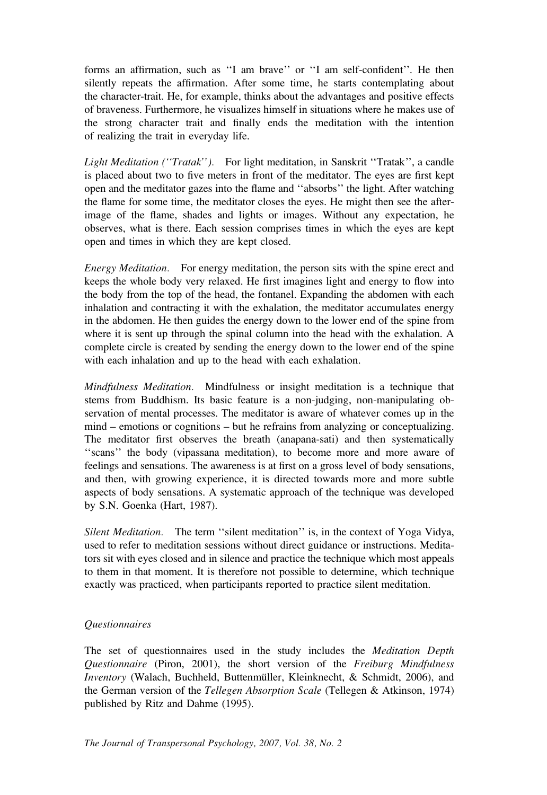forms an affirmation, such as ''I am brave'' or ''I am self-confident''. He then silently repeats the affirmation. After some time, he starts contemplating about the character-trait. He, for example, thinks about the advantages and positive effects of braveness. Furthermore, he visualizes himself in situations where he makes use of the strong character trait and finally ends the meditation with the intention of realizing the trait in everyday life.

Light Meditation ("Tratak"). For light meditation, in Sanskrit "Tratak", a candle is placed about two to five meters in front of the meditator. The eyes are first kept open and the meditator gazes into the flame and ''absorbs'' the light. After watching the flame for some time, the meditator closes the eyes. He might then see the afterimage of the flame, shades and lights or images. Without any expectation, he observes, what is there. Each session comprises times in which the eyes are kept open and times in which they are kept closed.

Energy Meditation. For energy meditation, the person sits with the spine erect and keeps the whole body very relaxed. He first imagines light and energy to flow into the body from the top of the head, the fontanel. Expanding the abdomen with each inhalation and contracting it with the exhalation, the meditator accumulates energy in the abdomen. He then guides the energy down to the lower end of the spine from where it is sent up through the spinal column into the head with the exhalation. A complete circle is created by sending the energy down to the lower end of the spine with each inhalation and up to the head with each exhalation.

Mindfulness Meditation. Mindfulness or insight meditation is a technique that stems from Buddhism. Its basic feature is a non-judging, non-manipulating observation of mental processes. The meditator is aware of whatever comes up in the mind – emotions or cognitions – but he refrains from analyzing or conceptualizing. The meditator first observes the breath (anapana-sati) and then systematically ''scans'' the body (vipassana meditation), to become more and more aware of feelings and sensations. The awareness is at first on a gross level of body sensations, and then, with growing experience, it is directed towards more and more subtle aspects of body sensations. A systematic approach of the technique was developed by S.N. Goenka (Hart, 1987).

Silent Meditation. The term ''silent meditation'' is, in the context of Yoga Vidya, used to refer to meditation sessions without direct guidance or instructions. Meditators sit with eyes closed and in silence and practice the technique which most appeals to them in that moment. It is therefore not possible to determine, which technique exactly was practiced, when participants reported to practice silent meditation.

# Questionnaires

The set of questionnaires used in the study includes the Meditation Depth Questionnaire (Piron, 2001), the short version of the Freiburg Mindfulness Inventory (Walach, Buchheld, Buttenmüller, Kleinknecht, & Schmidt, 2006), and the German version of the Tellegen Absorption Scale (Tellegen & Atkinson, 1974) published by Ritz and Dahme (1995).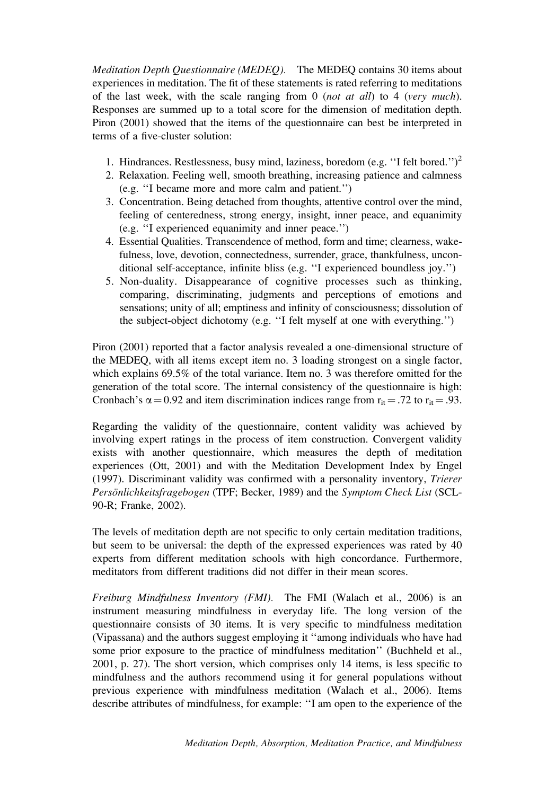Meditation Depth Questionnaire (MEDEQ). The MEDEQ contains 30 items about experiences in meditation. The fit of these statements is rated referring to meditations of the last week, with the scale ranging from  $\theta$  (*not at all*) to 4 (*very much*). Responses are summed up to a total score for the dimension of meditation depth. Piron (2001) showed that the items of the questionnaire can best be interpreted in terms of a five-cluster solution:

- 1. Hindrances. Restlessness, busy mind, laziness, boredom (e.g. "I felt bored.")<sup>2</sup>
- 2. Relaxation. Feeling well, smooth breathing, increasing patience and calmness (e.g. ''I became more and more calm and patient.'')
- 3. Concentration. Being detached from thoughts, attentive control over the mind, feeling of centeredness, strong energy, insight, inner peace, and equanimity (e.g. ''I experienced equanimity and inner peace.'')
- 4. Essential Qualities. Transcendence of method, form and time; clearness, wakefulness, love, devotion, connectedness, surrender, grace, thankfulness, unconditional self-acceptance, infinite bliss (e.g. ''I experienced boundless joy.'')
- 5. Non-duality. Disappearance of cognitive processes such as thinking, comparing, discriminating, judgments and perceptions of emotions and sensations; unity of all; emptiness and infinity of consciousness; dissolution of the subject-object dichotomy (e.g. ''I felt myself at one with everything.'')

Piron (2001) reported that a factor analysis revealed a one-dimensional structure of the MEDEQ, with all items except item no. 3 loading strongest on a single factor, which explains 69.5% of the total variance. Item no. 3 was therefore omitted for the generation of the total score. The internal consistency of the questionnaire is high: Cronbach's  $\alpha = 0.92$  and item discrimination indices range from  $r_{it} = .72$  to  $r_{it} = .93$ .

Regarding the validity of the questionnaire, content validity was achieved by involving expert ratings in the process of item construction. Convergent validity exists with another questionnaire, which measures the depth of meditation experiences (Ott, 2001) and with the Meditation Development Index by Engel (1997). Discriminant validity was confirmed with a personality inventory, Trierer Persönlichkeitsfragebogen (TPF; Becker, 1989) and the Symptom Check List (SCL-90-R; Franke, 2002).

The levels of meditation depth are not specific to only certain meditation traditions, but seem to be universal: the depth of the expressed experiences was rated by 40 experts from different meditation schools with high concordance. Furthermore, meditators from different traditions did not differ in their mean scores.

Freiburg Mindfulness Inventory (FMI). The FMI (Walach et al., 2006) is an instrument measuring mindfulness in everyday life. The long version of the questionnaire consists of 30 items. It is very specific to mindfulness meditation (Vipassana) and the authors suggest employing it ''among individuals who have had some prior exposure to the practice of mindfulness meditation'' (Buchheld et al., 2001, p. 27). The short version, which comprises only 14 items, is less specific to mindfulness and the authors recommend using it for general populations without previous experience with mindfulness meditation (Walach et al., 2006). Items describe attributes of mindfulness, for example: ''I am open to the experience of the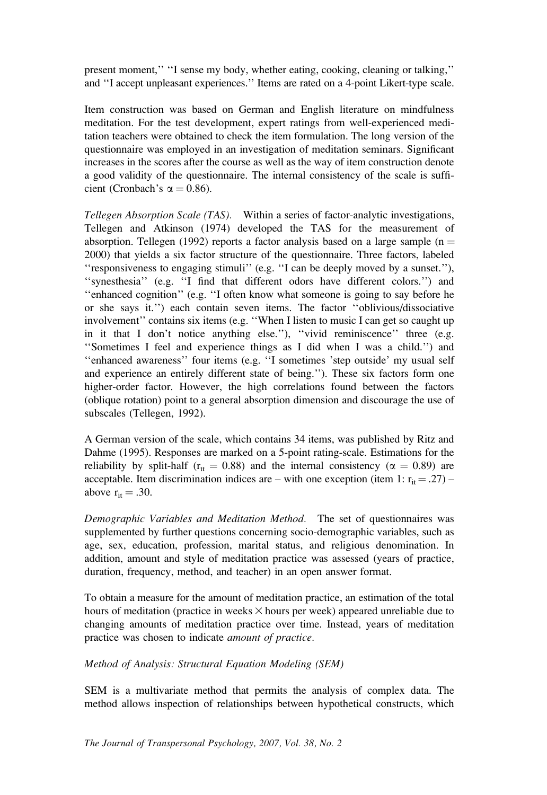present moment,'' ''I sense my body, whether eating, cooking, cleaning or talking,'' and ''I accept unpleasant experiences.'' Items are rated on a 4-point Likert-type scale.

Item construction was based on German and English literature on mindfulness meditation. For the test development, expert ratings from well-experienced meditation teachers were obtained to check the item formulation. The long version of the questionnaire was employed in an investigation of meditation seminars. Significant increases in the scores after the course as well as the way of item construction denote a good validity of the questionnaire. The internal consistency of the scale is sufficient (Cronbach's  $\alpha = 0.86$ ).

Tellegen Absorption Scale (TAS). Within a series of factor-analytic investigations, Tellegen and Atkinson (1974) developed the TAS for the measurement of absorption. Tellegen (1992) reports a factor analysis based on a large sample ( $n =$ 2000) that yields a six factor structure of the questionnaire. Three factors, labeled ''responsiveness to engaging stimuli'' (e.g. ''I can be deeply moved by a sunset.''), ''synesthesia'' (e.g. ''I find that different odors have different colors.'') and ''enhanced cognition'' (e.g. ''I often know what someone is going to say before he or she says it.'') each contain seven items. The factor ''oblivious/dissociative involvement'' contains six items (e.g. ''When I listen to music I can get so caught up in it that I don't notice anything else.''), ''vivid reminiscence'' three (e.g. ''Sometimes I feel and experience things as I did when I was a child.'') and ''enhanced awareness'' four items (e.g. ''I sometimes 'step outside' my usual self and experience an entirely different state of being.''). These six factors form one higher-order factor. However, the high correlations found between the factors (oblique rotation) point to a general absorption dimension and discourage the use of subscales (Tellegen, 1992).

A German version of the scale, which contains 34 items, was published by Ritz and Dahme (1995). Responses are marked on a 5-point rating-scale. Estimations for the reliability by split-half ( $r_{tt} = 0.88$ ) and the internal consistency ( $\alpha = 0.89$ ) are acceptable. Item discrimination indices are – with one exception (item 1:  $r_{it} = .27$ ) – above  $r_{it} = .30$ .

Demographic Variables and Meditation Method. The set of questionnaires was supplemented by further questions concerning socio-demographic variables, such as age, sex, education, profession, marital status, and religious denomination. In addition, amount and style of meditation practice was assessed (years of practice, duration, frequency, method, and teacher) in an open answer format.

To obtain a measure for the amount of meditation practice, an estimation of the total hours of meditation (practice in weeks  $\times$  hours per week) appeared unreliable due to changing amounts of meditation practice over time. Instead, years of meditation practice was chosen to indicate amount of practice.

Method of Analysis: Structural Equation Modeling (SEM)

SEM is a multivariate method that permits the analysis of complex data. The method allows inspection of relationships between hypothetical constructs, which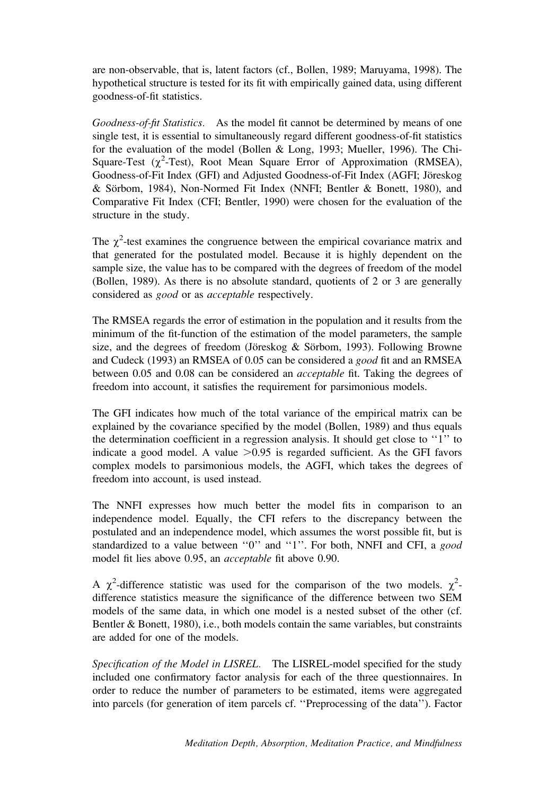are non-observable, that is, latent factors (cf., Bollen, 1989; Maruyama, 1998). The hypothetical structure is tested for its fit with empirically gained data, using different goodness-of-fit statistics.

Goodness-of-fit Statistics. As the model fit cannot be determined by means of one single test, it is essential to simultaneously regard different goodness-of-fit statistics for the evaluation of the model (Bollen & Long, 1993; Mueller, 1996). The Chi-Square-Test  $(\chi^2$ -Test), Root Mean Square Error of Approximation (RMSEA), Goodness-of-Fit Index (GFI) and Adjusted Goodness-of-Fit Index (AGFI; Jöreskog & Sörbom, 1984), Non-Normed Fit Index (NNFI; Bentler & Bonett, 1980), and Comparative Fit Index (CFI; Bentler, 1990) were chosen for the evaluation of the structure in the study.

The  $\chi^2$ -test examines the congruence between the empirical covariance matrix and that generated for the postulated model. Because it is highly dependent on the sample size, the value has to be compared with the degrees of freedom of the model (Bollen, 1989). As there is no absolute standard, quotients of 2 or 3 are generally considered as good or as acceptable respectively.

The RMSEA regards the error of estimation in the population and it results from the minimum of the fit-function of the estimation of the model parameters, the sample size, and the degrees of freedom (Jöreskog  $&$  Sörbom, 1993). Following Browne and Cudeck (1993) an RMSEA of 0.05 can be considered a good fit and an RMSEA between 0.05 and 0.08 can be considered an acceptable fit. Taking the degrees of freedom into account, it satisfies the requirement for parsimonious models.

The GFI indicates how much of the total variance of the empirical matrix can be explained by the covariance specified by the model (Bollen, 1989) and thus equals the determination coefficient in a regression analysis. It should get close to ''1'' to indicate a good model. A value  $>0.95$  is regarded sufficient. As the GFI favors complex models to parsimonious models, the AGFI, which takes the degrees of freedom into account, is used instead.

The NNFI expresses how much better the model fits in comparison to an independence model. Equally, the CFI refers to the discrepancy between the postulated and an independence model, which assumes the worst possible fit, but is standardized to a value between "0" and "1". For both, NNFI and CFI, a good model fit lies above 0.95, an acceptable fit above 0.90.

A  $\chi^2$ -difference statistic was used for the comparison of the two models.  $\chi^2$ difference statistics measure the significance of the difference between two SEM models of the same data, in which one model is a nested subset of the other (cf. Bentler & Bonett, 1980), i.e., both models contain the same variables, but constraints are added for one of the models.

Specification of the Model in LISREL. The LISREL-model specified for the study included one confirmatory factor analysis for each of the three questionnaires. In order to reduce the number of parameters to be estimated, items were aggregated into parcels (for generation of item parcels cf. ''Preprocessing of the data''). Factor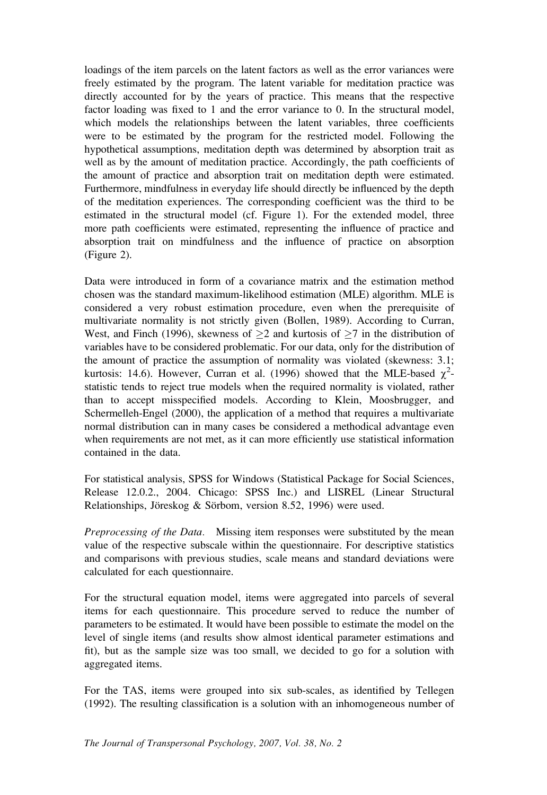loadings of the item parcels on the latent factors as well as the error variances were freely estimated by the program. The latent variable for meditation practice was directly accounted for by the years of practice. This means that the respective factor loading was fixed to 1 and the error variance to 0. In the structural model, which models the relationships between the latent variables, three coefficients were to be estimated by the program for the restricted model. Following the hypothetical assumptions, meditation depth was determined by absorption trait as well as by the amount of meditation practice. Accordingly, the path coefficients of the amount of practice and absorption trait on meditation depth were estimated. Furthermore, mindfulness in everyday life should directly be influenced by the depth of the meditation experiences. The corresponding coefficient was the third to be estimated in the structural model (cf. Figure 1). For the extended model, three more path coefficients were estimated, representing the influence of practice and absorption trait on mindfulness and the influence of practice on absorption (Figure 2).

Data were introduced in form of a covariance matrix and the estimation method chosen was the standard maximum-likelihood estimation (MLE) algorithm. MLE is considered a very robust estimation procedure, even when the prerequisite of multivariate normality is not strictly given (Bollen, 1989). According to Curran, West, and Finch (1996), skewness of  $\geq 2$  and kurtosis of  $\geq 7$  in the distribution of variables have to be considered problematic. For our data, only for the distribution of the amount of practice the assumption of normality was violated (skewness: 3.1; kurtosis: 14.6). However, Curran et al. (1996) showed that the MLE-based  $\chi^2$ statistic tends to reject true models when the required normality is violated, rather than to accept misspecified models. According to Klein, Moosbrugger, and Schermelleh-Engel (2000), the application of a method that requires a multivariate normal distribution can in many cases be considered a methodical advantage even when requirements are not met, as it can more efficiently use statistical information contained in the data.

For statistical analysis, SPSS for Windows (Statistical Package for Social Sciences, Release 12.0.2., 2004. Chicago: SPSS Inc.) and LISREL (Linear Structural Relationships, Jöreskog & Sörbom, version 8.52, 1996) were used.

Preprocessing of the Data. Missing item responses were substituted by the mean value of the respective subscale within the questionnaire. For descriptive statistics and comparisons with previous studies, scale means and standard deviations were calculated for each questionnaire.

For the structural equation model, items were aggregated into parcels of several items for each questionnaire. This procedure served to reduce the number of parameters to be estimated. It would have been possible to estimate the model on the level of single items (and results show almost identical parameter estimations and fit), but as the sample size was too small, we decided to go for a solution with aggregated items.

For the TAS, items were grouped into six sub-scales, as identified by Tellegen (1992). The resulting classification is a solution with an inhomogeneous number of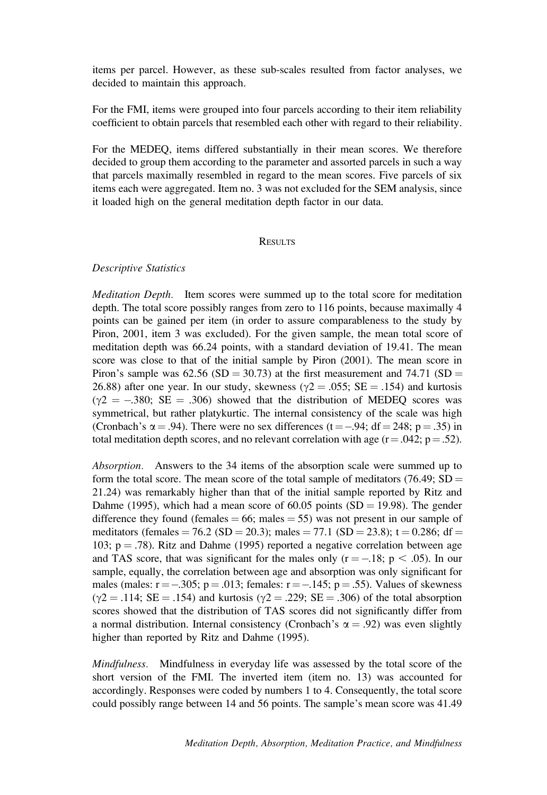items per parcel. However, as these sub-scales resulted from factor analyses, we decided to maintain this approach.

For the FMI, items were grouped into four parcels according to their item reliability coefficient to obtain parcels that resembled each other with regard to their reliability.

For the MEDEQ, items differed substantially in their mean scores. We therefore decided to group them according to the parameter and assorted parcels in such a way that parcels maximally resembled in regard to the mean scores. Five parcels of six items each were aggregated. Item no. 3 was not excluded for the SEM analysis, since it loaded high on the general meditation depth factor in our data.

#### **RESULTS**

#### Descriptive Statistics

Meditation Depth. Item scores were summed up to the total score for meditation depth. The total score possibly ranges from zero to 116 points, because maximally 4 points can be gained per item (in order to assure comparableness to the study by Piron, 2001, item 3 was excluded). For the given sample, the mean total score of meditation depth was 66.24 points, with a standard deviation of 19.41. The mean score was close to that of the initial sample by Piron (2001). The mean score in Piron's sample was  $62.56$  (SD = 30.73) at the first measurement and 74.71 (SD = 26.88) after one year. In our study, skewness ( $\gamma$ 2 = .055; SE = .154) and kurtosis  $(\gamma 2 = -.380; SE = .306)$  showed that the distribution of MEDEO scores was symmetrical, but rather platykurtic. The internal consistency of the scale was high (Cronbach's  $\alpha$  = .94). There were no sex differences (t = -.94; df = 248; p = .35) in total meditation depth scores, and no relevant correlation with age  $(r=.042; p=.52)$ .

Absorption. Answers to the 34 items of the absorption scale were summed up to form the total score. The mean score of the total sample of meditators (76.49;  $SD =$ 21.24) was remarkably higher than that of the initial sample reported by Ritz and Dahme (1995), which had a mean score of  $60.05$  points (SD = 19.98). The gender difference they found (females  $= 66$ ; males  $= 55$ ) was not present in our sample of meditators (females = 76.2 (SD = 20.3); males = 77.1 (SD = 23.8); t = 0.286; df = 103;  $p = .78$ ). Ritz and Dahme (1995) reported a negative correlation between age and TAS score, that was significant for the males only  $(r = -.18; p < .05)$ . In our sample, equally, the correlation between age and absorption was only significant for males (males:  $r = -.305$ ;  $p = .013$ ; females:  $r = -.145$ ;  $p = .55$ ). Values of skewness  $(\gamma 2 = .114; SE = .154)$  and kurtosis  $(\gamma 2 = .229; SE = .306)$  of the total absorption scores showed that the distribution of TAS scores did not significantly differ from a normal distribution. Internal consistency (Cronbach's  $\alpha = .92$ ) was even slightly higher than reported by Ritz and Dahme (1995).

Mindfulness. Mindfulness in everyday life was assessed by the total score of the short version of the FMI. The inverted item (item no. 13) was accounted for accordingly. Responses were coded by numbers 1 to 4. Consequently, the total score could possibly range between 14 and 56 points. The sample's mean score was 41.49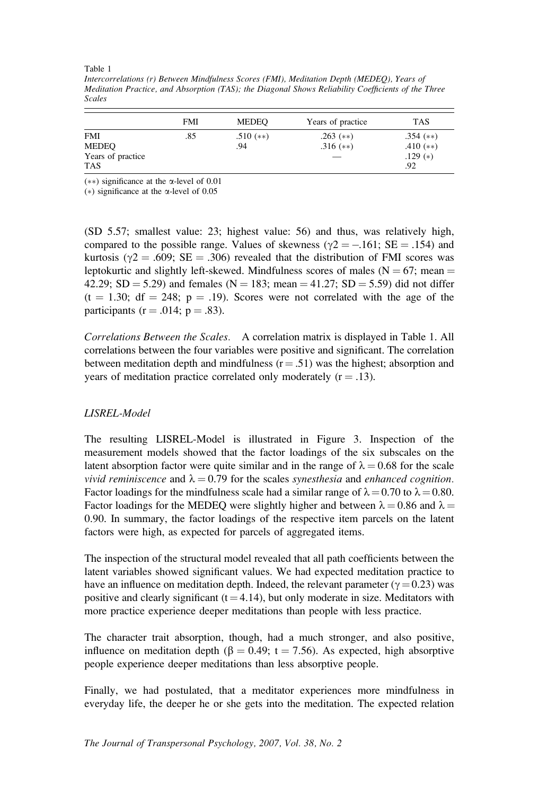Table 1 Intercorrelations (r) Between Mindfulness Scores (FMI), Meditation Depth (MEDEQ), Years of Meditation Practice, and Absorption (TAS); the Diagonal Shows Reliability Coefficients of the Three Scales

|                   | <b>FMI</b> | <b>MEDEO</b> | Years of practice | TAS         |
|-------------------|------------|--------------|-------------------|-------------|
| <b>FMI</b>        | .85        | $.510$ (**)  | $.263$ (**)       | $.354$ (**) |
| MEDEQ             |            | .94          | $.316$ (**)       | .410 $(**)$ |
| Years of practice |            |              |                   | $.129(*)$   |
| <b>TAS</b>        |            |              |                   | .92         |

(\*\*) significance at the  $\alpha$ -level of 0.01

(\*) significance at the  $\alpha$ -level of 0.05

(SD 5.57; smallest value: 23; highest value: 56) and thus, was relatively high, compared to the possible range. Values of skewness ( $\gamma$ 2 = -161; SE = .154) and kurtosis ( $\gamma$ 2 = .609; SE = .306) revealed that the distribution of FMI scores was leptokurtic and slightly left-skewed. Mindfulness scores of males ( $N = 67$ ; mean = 42.29; SD = 5.29) and females (N = 183; mean = 41.27; SD = 5.59) did not differ  $(t = 1.30; df = 248; p = .19)$ . Scores were not correlated with the age of the participants ( $r = .014$ ;  $p = .83$ ).

Correlations Between the Scales. A correlation matrix is displayed in Table 1. All correlations between the four variables were positive and significant. The correlation between meditation depth and mindfulness  $(r = .51)$  was the highest; absorption and years of meditation practice correlated only moderately  $(r = .13)$ .

# LISREL-Model

The resulting LISREL-Model is illustrated in Figure 3. Inspection of the measurement models showed that the factor loadings of the six subscales on the latent absorption factor were quite similar and in the range of  $\lambda = 0.68$  for the scale vivid reminiscence and  $\lambda = 0.79$  for the scales synesthesia and enhanced cognition. Factor loadings for the mindfulness scale had a similar range of  $\lambda = 0.70$  to  $\lambda = 0.80$ . Factor loadings for the MEDEQ were slightly higher and between  $\lambda = 0.86$  and  $\lambda =$ 0.90. In summary, the factor loadings of the respective item parcels on the latent factors were high, as expected for parcels of aggregated items.

The inspection of the structural model revealed that all path coefficients between the latent variables showed significant values. We had expected meditation practice to have an influence on meditation depth. Indeed, the relevant parameter ( $\gamma$  = 0.23) was positive and clearly significant  $(t = 4.14)$ , but only moderate in size. Meditators with more practice experience deeper meditations than people with less practice.

The character trait absorption, though, had a much stronger, and also positive, influence on meditation depth ( $\beta = 0.49$ ; t = 7.56). As expected, high absorptive people experience deeper meditations than less absorptive people.

Finally, we had postulated, that a meditator experiences more mindfulness in everyday life, the deeper he or she gets into the meditation. The expected relation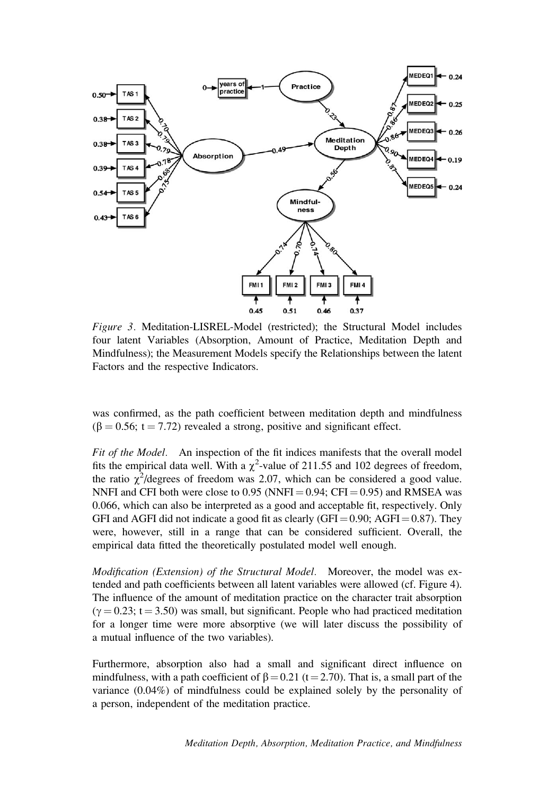

Figure 3. Meditation-LISREL-Model (restricted); the Structural Model includes four latent Variables (Absorption, Amount of Practice, Meditation Depth and Mindfulness); the Measurement Models specify the Relationships between the latent Factors and the respective Indicators.

was confirmed, as the path coefficient between meditation depth and mindfulness  $(\beta = 0.56; t = 7.72)$  revealed a strong, positive and significant effect.

Fit of the Model. An inspection of the fit indices manifests that the overall model fits the empirical data well. With a  $\chi^2$ -value of 211.55 and 102 degrees of freedom, the ratio  $\chi^2$ /degrees of freedom was 2.07, which can be considered a good value. NNFI and CFI both were close to 0.95 (NNFI =  $0.94$ ; CFI =  $0.95$ ) and RMSEA was 0.066, which can also be interpreted as a good and acceptable fit, respectively. Only GFI and AGFI did not indicate a good fit as clearly (GFI = 0.90; AGFI = 0.87). They were, however, still in a range that can be considered sufficient. Overall, the empirical data fitted the theoretically postulated model well enough.

Modification (Extension) of the Structural Model. Moreover, the model was extended and path coefficients between all latent variables were allowed (cf. Figure 4). The influence of the amount of meditation practice on the character trait absorption  $(\gamma = 0.23; t = 3.50)$  was small, but significant. People who had practiced meditation for a longer time were more absorptive (we will later discuss the possibility of a mutual influence of the two variables).

Furthermore, absorption also had a small and significant direct influence on mindfulness, with a path coefficient of  $\beta = 0.21$  (t = 2.70). That is, a small part of the variance (0.04%) of mindfulness could be explained solely by the personality of a person, independent of the meditation practice.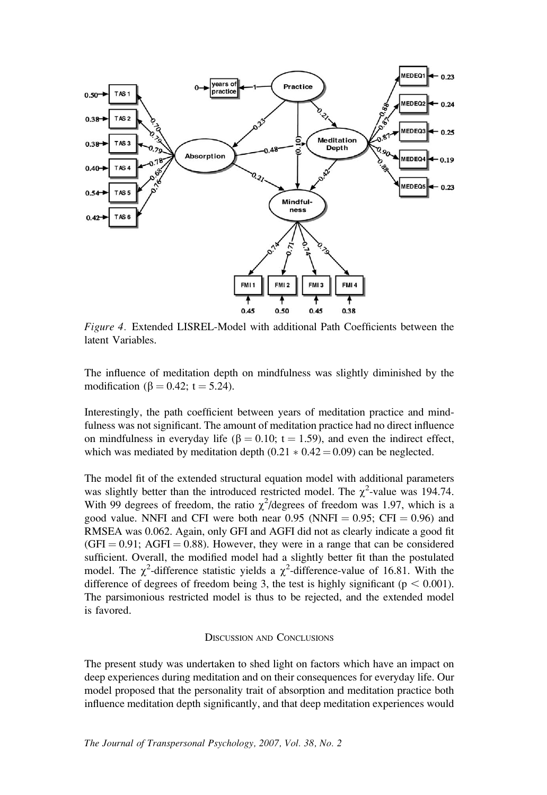

Figure 4. Extended LISREL-Model with additional Path Coefficients between the latent Variables.

The influence of meditation depth on mindfulness was slightly diminished by the modification ( $\beta = 0.42$ ; t = 5.24).

Interestingly, the path coefficient between years of meditation practice and mindfulness was not significant. The amount of meditation practice had no direct influence on mindfulness in everyday life ( $\beta = 0.10$ ; t = 1.59), and even the indirect effect, which was mediated by meditation depth  $(0.21 * 0.42 = 0.09)$  can be neglected.

The model fit of the extended structural equation model with additional parameters was slightly better than the introduced restricted model. The  $\chi^2$ -value was 194.74. With 99 degrees of freedom, the ratio  $\chi^2$ /degrees of freedom was 1.97, which is a good value. NNFI and CFI were both near  $0.95$  (NNFI =  $0.95$ ; CFI = 0.96) and RMSEA was 0.062. Again, only GFI and AGFI did not as clearly indicate a good fit  $(GFI = 0.91; AGFI = 0.88)$ . However, they were in a range that can be considered sufficient. Overall, the modified model had a slightly better fit than the postulated model. The  $\chi^2$ -difference statistic yields a  $\chi^2$ -difference-value of 16.81. With the difference of degrees of freedom being 3, the test is highly significant ( $p < 0.001$ ). The parsimonious restricted model is thus to be rejected, and the extended model is favored.

#### DISCUSSION AND CONCLUSIONS

The present study was undertaken to shed light on factors which have an impact on deep experiences during meditation and on their consequences for everyday life. Our model proposed that the personality trait of absorption and meditation practice both influence meditation depth significantly, and that deep meditation experiences would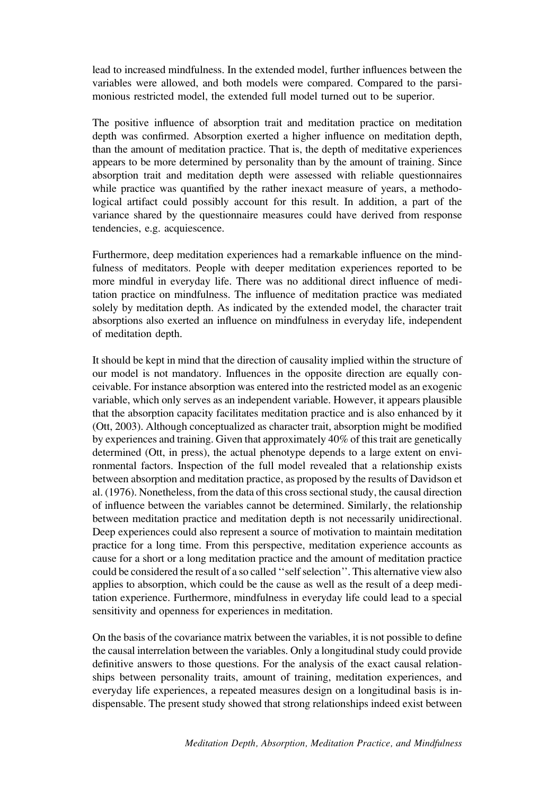lead to increased mindfulness. In the extended model, further influences between the variables were allowed, and both models were compared. Compared to the parsimonious restricted model, the extended full model turned out to be superior.

The positive influence of absorption trait and meditation practice on meditation depth was confirmed. Absorption exerted a higher influence on meditation depth, than the amount of meditation practice. That is, the depth of meditative experiences appears to be more determined by personality than by the amount of training. Since absorption trait and meditation depth were assessed with reliable questionnaires while practice was quantified by the rather inexact measure of years, a methodological artifact could possibly account for this result. In addition, a part of the variance shared by the questionnaire measures could have derived from response tendencies, e.g. acquiescence.

Furthermore, deep meditation experiences had a remarkable influence on the mindfulness of meditators. People with deeper meditation experiences reported to be more mindful in everyday life. There was no additional direct influence of meditation practice on mindfulness. The influence of meditation practice was mediated solely by meditation depth. As indicated by the extended model, the character trait absorptions also exerted an influence on mindfulness in everyday life, independent of meditation depth.

It should be kept in mind that the direction of causality implied within the structure of our model is not mandatory. Influences in the opposite direction are equally conceivable. For instance absorption was entered into the restricted model as an exogenic variable, which only serves as an independent variable. However, it appears plausible that the absorption capacity facilitates meditation practice and is also enhanced by it (Ott, 2003). Although conceptualized as character trait, absorption might be modified by experiences and training. Given that approximately 40% of this trait are genetically determined (Ott, in press), the actual phenotype depends to a large extent on environmental factors. Inspection of the full model revealed that a relationship exists between absorption and meditation practice, as proposed by the results of Davidson et al. (1976). Nonetheless, from the data of this cross sectional study, the causal direction of influence between the variables cannot be determined. Similarly, the relationship between meditation practice and meditation depth is not necessarily unidirectional. Deep experiences could also represent a source of motivation to maintain meditation practice for a long time. From this perspective, meditation experience accounts as cause for a short or a long meditation practice and the amount of meditation practice could be considered the result of a so called ''self selection''. This alternative view also applies to absorption, which could be the cause as well as the result of a deep meditation experience. Furthermore, mindfulness in everyday life could lead to a special sensitivity and openness for experiences in meditation.

On the basis of the covariance matrix between the variables, it is not possible to define the causal interrelation between the variables. Only a longitudinal study could provide definitive answers to those questions. For the analysis of the exact causal relationships between personality traits, amount of training, meditation experiences, and everyday life experiences, a repeated measures design on a longitudinal basis is indispensable. The present study showed that strong relationships indeed exist between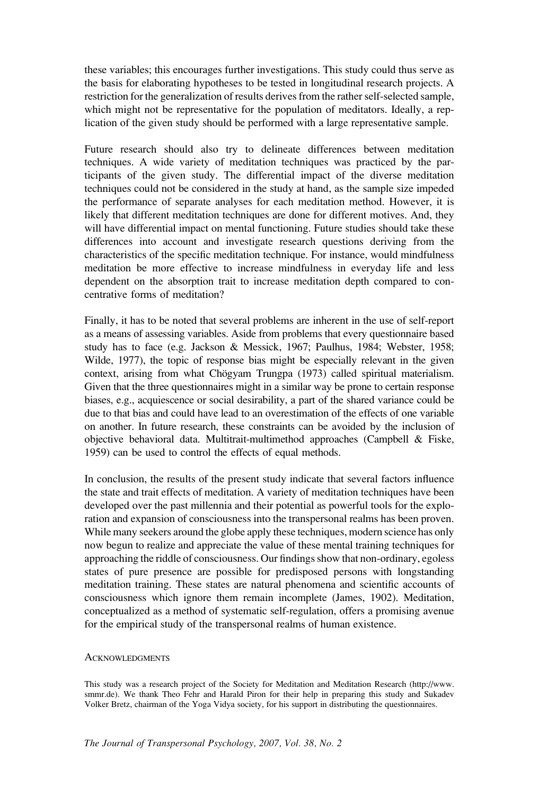these variables; this encourages further investigations. This study could thus serve as the basis for elaborating hypotheses to be tested in longitudinal research projects. A restriction for the generalization of results derives from the rather self-selected sample, which might not be representative for the population of meditators. Ideally, a replication of the given study should be performed with a large representative sample.

Future research should also try to delineate differences between meditation techniques. A wide variety of meditation techniques was practiced by the participants of the given study. The differential impact of the diverse meditation techniques could not be considered in the study at hand, as the sample size impeded the performance of separate analyses for each meditation method. However, it is likely that different meditation techniques are done for different motives. And, they will have differential impact on mental functioning. Future studies should take these differences into account and investigate research questions deriving from the characteristics of the specific meditation technique. For instance, would mindfulness meditation be more effective to increase mindfulness in everyday life and less dependent on the absorption trait to increase meditation depth compared to concentrative forms of meditation?

Finally, it has to be noted that several problems are inherent in the use of self-report as a means of assessing variables. Aside from problems that every questionnaire based study has to face (e.g. Jackson & Messick, 1967; Paulhus, 1984; Webster, 1958; Wilde, 1977), the topic of response bias might be especially relevant in the given context, arising from what Chögyam Trungpa (1973) called spiritual materialism. Given that the three questionnaires might in a similar way be prone to certain response biases, e.g., acquiescence or social desirability, a part of the shared variance could be due to that bias and could have lead to an overestimation of the effects of one variable on another. In future research, these constraints can be avoided by the inclusion of objective behavioral data. Multitrait-multimethod approaches (Campbell & Fiske, 1959) can be used to control the effects of equal methods.

In conclusion, the results of the present study indicate that several factors influence the state and trait effects of meditation. A variety of meditation techniques have been developed over the past millennia and their potential as powerful tools for the exploration and expansion of consciousness into the transpersonal realms has been proven. While many seekers around the globe apply these techniques, modern science has only now begun to realize and appreciate the value of these mental training techniques for approaching the riddle of consciousness. Our findings show that non-ordinary, egoless states of pure presence are possible for predisposed persons with longstanding meditation training. These states are natural phenomena and scientific accounts of consciousness which ignore them remain incomplete (James, 1902). Meditation, conceptualized as a method of systematic self-regulation, offers a promising avenue for the empirical study of the transpersonal realms of human existence.

#### **ACKNOWLEDGMENTS**

This study was a research project of the Society for Meditation and Meditation Research (http://www. smmr.de). We thank Theo Fehr and Harald Piron for their help in preparing this study and Sukadev Volker Bretz, chairman of the Yoga Vidya society, for his support in distributing the questionnaires.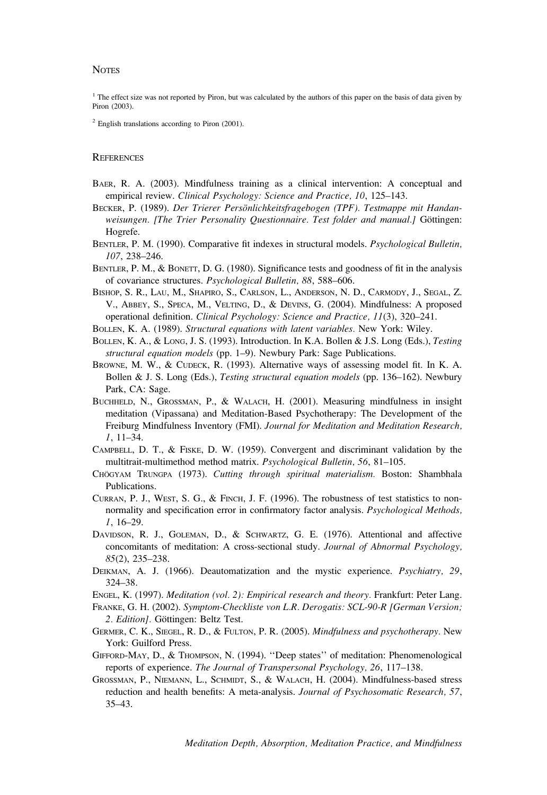#### **NOTES**

<sup>1</sup> The effect size was not reported by Piron, but was calculated by the authors of this paper on the basis of data given by Piron (2003).

 $2$  English translations according to Piron (2001).

#### **REFERENCES**

- BAER, R. A. (2003). Mindfulness training as a clinical intervention: A conceptual and empirical review. Clinical Psychology: Science and Practice, 10, 125–143.
- BECKER, P. (1989). Der Trierer Persönlichkeitsfragebogen (TPF). Testmappe mit Handanweisungen. [The Trier Personality Questionnaire. Test folder and manual.] Göttingen: Hogrefe.
- BENTLER, P. M. (1990). Comparative fit indexes in structural models. Psychological Bulletin, 107, 238–246.
- BENTLER, P. M., & BONETT, D. G. (1980). Significance tests and goodness of fit in the analysis of covariance structures. Psychological Bulletin, 88, 588–606.
- BISHOP, S. R., LAU, M., SHAPIRO, S., CARLSON, L., ANDERSON, N. D., CARMODY, J., SEGAL, Z. V., ABBEY, S., SPECA, M., VELTING, D., & DEVINS, G. (2004). Mindfulness: A proposed operational definition. Clinical Psychology: Science and Practice, 11(3), 320–241.
- BOLLEN, K. A. (1989). Structural equations with latent variables. New York: Wiley.
- BOLLEN, K. A., & LONG, J. S. (1993). Introduction. In K.A. Bollen & J.S. Long (Eds.), Testing structural equation models (pp. 1–9). Newbury Park: Sage Publications.
- BROWNE, M. W., & CUDECK, R. (1993). Alternative ways of assessing model fit. In K. A. Bollen & J. S. Long (Eds.), Testing structural equation models (pp. 136–162). Newbury Park, CA: Sage.
- BUCHHELD, N., GROSSMAN, P., & WALACH, H. (2001). Measuring mindfulness in insight meditation (Vipassana) and Meditation-Based Psychotherapy: The Development of the Freiburg Mindfulness Inventory (FMI). Journal for Meditation and Meditation Research, 1, 11–34.
- CAMPBELL, D. T., & FISKE, D. W. (1959). Convergent and discriminant validation by the multitrait-multimethod method matrix. Psychological Bulletin, 56, 81-105.
- CHÖGYAM TRUNGPA (1973). Cutting through spiritual materialism. Boston: Shambhala Publications.
- CURRAN, P. J., WEST, S. G., & FINCH, J. F. (1996). The robustness of test statistics to nonnormality and specification error in confirmatory factor analysis. Psychological Methods, 1, 16–29.
- DAVIDSON, R. J., GOLEMAN, D., & SCHWARTZ, G. E. (1976). Attentional and affective concomitants of meditation: A cross-sectional study. Journal of Abnormal Psychology, 85(2), 235–238.
- DEIKMAN, A. J. (1966). Deautomatization and the mystic experience. Psychiatry, 29, 324–38.
- ENGEL, K. (1997). Meditation (vol. 2): Empirical research and theory. Frankfurt: Peter Lang.
- FRANKE, G. H. (2002). Symptom-Checkliste von L.R. Derogatis: SCL-90-R [German Version; 2. *Edition*]. Göttingen: Beltz Test.
- GERMER, C. K., SIEGEL, R. D., & FULTON, P. R. (2005). Mindfulness and psychotherapy. New York: Guilford Press.
- GIFFORD-MAY, D., & THOMPSON, N. (1994). ''Deep states'' of meditation: Phenomenological reports of experience. The Journal of Transpersonal Psychology, 26, 117-138.
- GROSSMAN, P., NIEMANN, L., SCHMIDT, S., & WALACH, H. (2004). Mindfulness-based stress reduction and health benefits: A meta-analysis. Journal of Psychosomatic Research, 57, 35–43.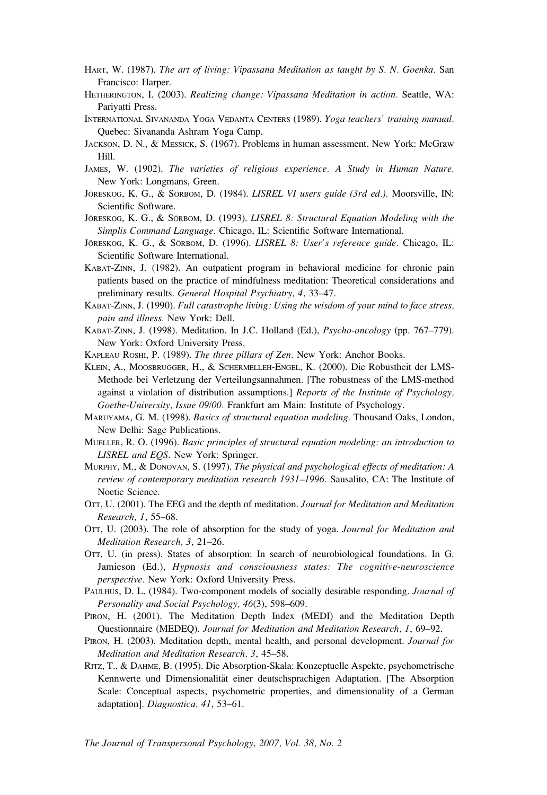- HART, W. (1987). The art of living: Vipassana Meditation as taught by S. N. Goenka. San Francisco: Harper.
- HETHERINGTON, I. (2003). Realizing change: Vipassana Meditation in action. Seattle, WA: Pariyatti Press.
- INTERNATIONAL SIVANANDA YOGA VEDANTA CENTERS (1989). Yoga teachers' training manual. Quebec: Sivananda Ashram Yoga Camp.
- JACKSON, D. N., & MESSICK, S. (1967). Problems in human assessment. New York: McGraw Hill.
- JAMES, W. (1902). The varieties of religious experience. A Study in Human Nature. New York: Longmans, Green.
- JÖRESKOG, K. G., & SÖRBOM, D. (1984). LISREL VI users guide (3rd ed.). Moorsville, IN: Scientific Software.
- JÖRESKOG, K. G., & SÖRBOM, D. (1993). LISREL 8: Structural Equation Modeling with the Simplis Command Language. Chicago, IL: Scientific Software International.
- JÖRESKOG, K. G., & SÖRBOM, D. (1996). LISREL 8: User's reference guide. Chicago, IL: Scientific Software International.
- KABAT-ZINN, J. (1982). An outpatient program in behavioral medicine for chronic pain patients based on the practice of mindfulness meditation: Theoretical considerations and preliminary results. General Hospital Psychiatry, 4, 33–47.
- KABAT-ZINN, J. (1990). Full catastrophe living: Using the wisdom of your mind to face stress, pain and illness. New York: Dell.
- KABAT-ZINN, J. (1998). Meditation. In J.C. Holland (Ed.), Psycho-oncology (pp. 767–779). New York: Oxford University Press.
- KAPLEAU ROSHI, P. (1989). The three pillars of Zen. New York: Anchor Books.
- KLEIN, A., MOOSBRUGGER, H., & SCHERMELLEH-ENGEL, K. (2000). Die Robustheit der LMS-Methode bei Verletzung der Verteilungsannahmen. [The robustness of the LMS-method against a violation of distribution assumptions.] Reports of the Institute of Psychology, Goethe-University, Issue 09/00. Frankfurt am Main: Institute of Psychology.
- MARUYAMA, G. M. (1998). Basics of structural equation modeling. Thousand Oaks, London, New Delhi: Sage Publications.
- MUELLER, R. O. (1996). Basic principles of structural equation modeling: an introduction to LISREL and EQS. New York: Springer.
- MURPHY, M., & DONOVAN, S. (1997). The physical and psychological effects of meditation: A review of contemporary meditation research 1931–1996. Sausalito, CA: The Institute of Noetic Science.
- OTT, U. (2001). The EEG and the depth of meditation. Journal for Meditation and Meditation Research, 1, 55–68.
- OTT, U. (2003). The role of absorption for the study of yoga. Journal for Meditation and Meditation Research, 3, 21–26.
- OTT, U. (in press). States of absorption: In search of neurobiological foundations. In G. Jamieson (Ed.), Hypnosis and consciousness states: The cognitive-neuroscience perspective. New York: Oxford University Press.
- PAULHUS, D. L. (1984). Two-component models of socially desirable responding. Journal of Personality and Social Psychology, 46(3), 598–609.
- PIRON, H. (2001). The Meditation Depth Index (MEDI) and the Meditation Depth Questionnaire (MEDEQ). Journal for Meditation and Meditation Research, 1, 69–92.
- PIRON, H. (2003). Meditation depth, mental health, and personal development. Journal for Meditation and Meditation Research, 3, 45–58.
- RITZ, T., & DAHME, B. (1995). Die Absorption-Skala: Konzeptuelle Aspekte, psychometrische Kennwerte und Dimensionalität einer deutschsprachigen Adaptation. [The Absorption Scale: Conceptual aspects, psychometric properties, and dimensionality of a German adaptation]. Diagnostica, 41, 53–61.